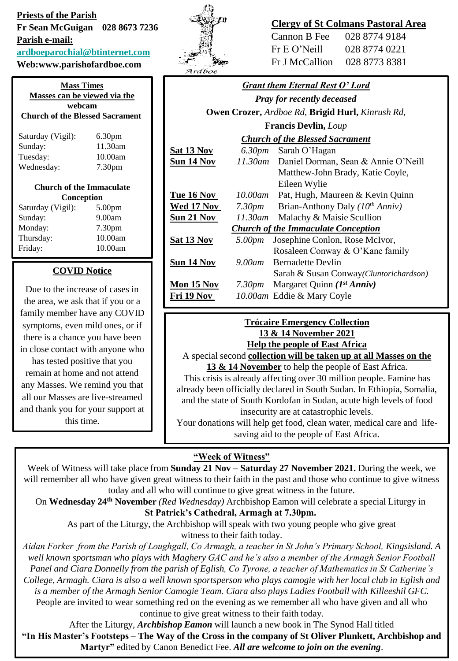# **Priests of the Parish Fr Sean McGuigan 028 8673 7236 Parish e-mail: [ardboeparochial@btinternet.com](mailto:ardboeparochial@btinternet.com)**

### **Web:www.parishofardboe.com**

| <b>Mass Times</b><br>Masses can be viewed via the<br>webcam<br><b>Church of the Blessed Sacrament</b> |                    |  |
|-------------------------------------------------------------------------------------------------------|--------------------|--|
| Saturday (Vigil):                                                                                     | 6.30 <sub>pm</sub> |  |
| Sunday:                                                                                               | 11.30am            |  |
| Tuesday:                                                                                              | 10.00am            |  |
| Wednesday:                                                                                            | 7.30 <sub>pm</sub> |  |
| <b>Church of the Immaculate</b>                                                                       |                    |  |
| Conception                                                                                            |                    |  |
| Saturday (Vigil):                                                                                     | 5.00 <sub>pm</sub> |  |
| Sunday:                                                                                               | 9.00am             |  |
| Monday:                                                                                               | 7.30 <sub>pm</sub> |  |
| Thursday:                                                                                             | 10.00am            |  |
| Friday:                                                                                               | 10.00am            |  |
| <b>COVID Notice</b>                                                                                   |                    |  |

# Due to the increase of cases in the area, we ask that if you or a family member have any COVID symptoms, even mild ones, or if there is a chance you have been in close contact with anyone who has tested positive that you remain at home and not attend any Masses. We remind you that all our Masses are live-streamed and thank you for your support at this time.



# **Clergy of St Colmans Pastoral Area**

| Cannon B Fee   | 028 8774 9184 |
|----------------|---------------|
| Fr E O' Neil1  | 028 8774 0221 |
| Fr J McCallion | 028 8773 8381 |

| <b>Grant them Eternal Rest O' Lord</b>                  |                    |                                             |  |
|---------------------------------------------------------|--------------------|---------------------------------------------|--|
| <b>Pray for recently deceased</b>                       |                    |                                             |  |
| <b>Owen Crozer, Ardboe Rd, Brigid Hurl, Kinrush Rd,</b> |                    |                                             |  |
| <b>Francis Devlin, Loup</b>                             |                    |                                             |  |
| <b>Church of the Blessed Sacrament</b>                  |                    |                                             |  |
| <u>Sat 13 Nov</u>                                       |                    | 6.30pm Sarah O'Hagan                        |  |
| <u>Sun 14 Nov</u>                                       |                    | 11.30am Daniel Dorman, Sean & Annie O'Neill |  |
|                                                         |                    | Matthew-John Brady, Katie Coyle,            |  |
|                                                         |                    | Eileen Wylie                                |  |
| Tue 16 Nov                                              | 10.00am            | Pat, Hugh, Maureen & Kevin Quinn            |  |
| <u>Wed 17 Nov</u>                                       | 7.30 <sub>pm</sub> | Brian-Anthony Daly $(10^{th} Anniv)$        |  |
| <u>Sun 21 Nov</u>                                       | 11.30am            | Malachy & Maisie Scullion                   |  |
| <b>Church of the Immaculate Conception</b>              |                    |                                             |  |
| <b>Sat 13 Nov</b>                                       | 5.00pm             | Josephine Conlon, Rose McIvor,              |  |
|                                                         |                    | Rosaleen Conway & O'Kane family             |  |
| <u>Sun 14 Nov</u>                                       | 9.00am             | <b>Bernadette Devlin</b>                    |  |
|                                                         |                    | Sarah & Susan Conway (Cluntorichardson)     |  |
| Mon 15 Nov                                              | 7.30pm             | Margaret Quinn $(I^{st} Anniv)$             |  |
| Fri 19 Nov                                              |                    | 10.00am Eddie & Mary Coyle                  |  |
|                                                         |                    |                                             |  |

#### **Trócaire Emergency Collection 13 & 14 November 2021 Help the people of East Africa**

A special second **collection will be taken up at all Masses on the 13 & 14 November** to help the people of East Africa.

This crisis is already affecting over 30 million people. Famine has already been officially declared in South Sudan. In Ethiopia, Somalia, and the state of South Kordofan in Sudan, acute high levels of food insecurity are at catastrophic levels.

Your donations will help get food, clean water, medical care and lifesaving aid to the people of East Africa.

### **"Week of Witness"**

Week of Witness will take place from **Sunday 21 Nov – Saturday 27 November 2021.** During the week, we will remember all who have given great witness to their faith in the past and those who continue to give witness today and all who will continue to give great witness in the future.

On **Wednesday 24th November** *(Red Wednesday)* Archbishop Eamon will celebrate a special Liturgy in **St Patrick's Cathedral, Armagh at 7.30pm.**

As part of the Liturgy, the Archbishop will speak with two young people who give great

witness to their faith today.

*Aidan Forker from the Parish of Loughgall, Co Armagh, a teacher in St John's Primary School, Kingsisland. A well known sportsman who plays with Maghery GAC and he's also a member of the Armagh Senior Football Panel and Ciara Donnelly from the parish of Eglish, Co Tyrone, a teacher of Mathematics in St Catherine's College, Armagh. Ciara is also a well known sportsperson who plays camogie with her local club in Eglish and is a member of the Armagh Senior Camogie Team. Ciara also plays Ladies Football with Killeeshil GFC.* People are invited to wear something red on the evening as we remember all who have given and all who continue to give great witness to their faith today.

After the Liturgy, *Archbishop Eamon* will launch a new book in The Synod Hall titled **"In His Master's Footsteps – The Way of the Cross in the company of St Oliver Plunkett, Archbishop and Martyr"** edited by Canon Benedict Fee. *All are welcome to join on the evening*.